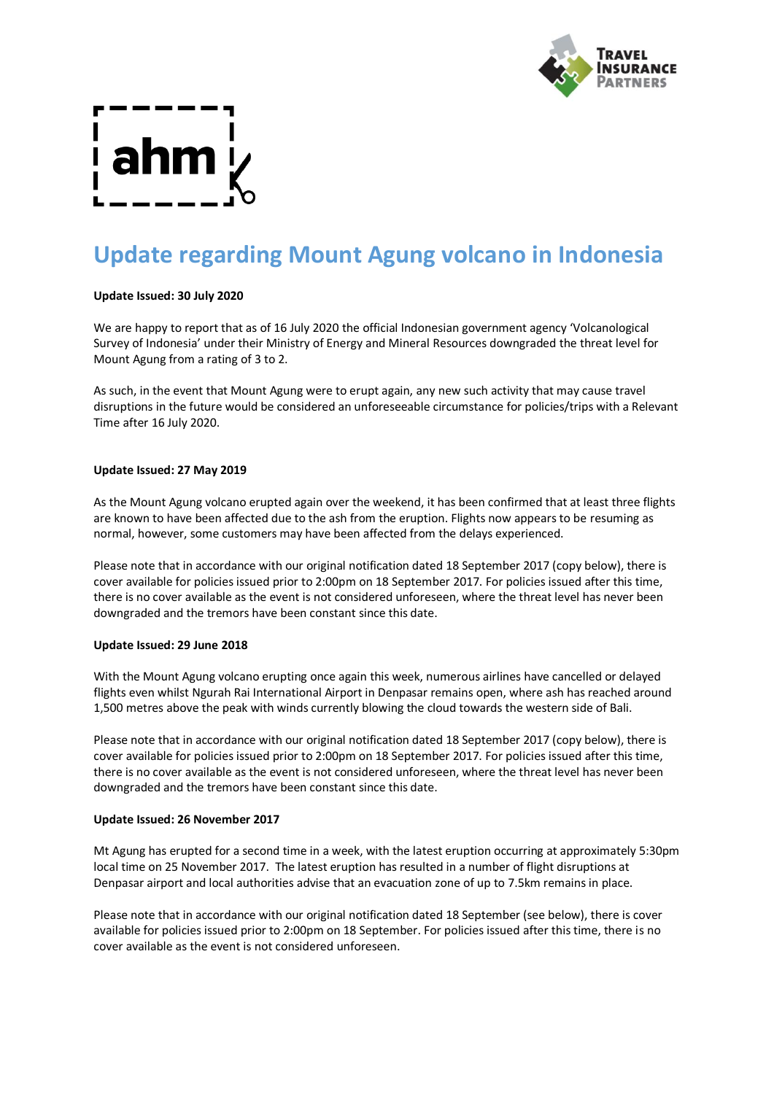

# **Update regarding Mount Agung volcano in Indonesia**

# **Update Issued: 30 July 2020**

We are happy to report that as of 16 July 2020 the official Indonesian government agency 'Volcanological Survey of Indonesia' under their Ministry of Energy and Mineral Resources downgraded the threat level for Mount Agung from a rating of 3 to 2.

As such, in the event that Mount Agung were to erupt again, any new such activity that may cause travel disruptions in the future would be considered an unforeseeable circumstance for policies/trips with a Relevant Time after 16 July 2020.

### **Update Issued: 27 May 2019**

As the Mount Agung volcano erupted again over the weekend, it has been confirmed that at least three flights are known to have been affected due to the ash from the eruption. Flights now appears to be resuming as normal, however, some customers may have been affected from the delays experienced.

Please note that in accordance with our original notification dated 18 September 2017 (copy below), there is cover available for policies issued prior to 2:00pm on 18 September 2017. For policies issued after this time, there is no cover available as the event is not considered unforeseen, where the threat level has never been downgraded and the tremors have been constant since this date.

### **Update Issued: 29 June 2018**

With the Mount Agung volcano erupting once again this week, numerous airlines have cancelled or delayed flights even whilst Ngurah Rai International Airport in Denpasar remains open, where ash has reached around 1,500 metres above the peak with winds currently blowing the cloud towards the western side of Bali.

Please note that in accordance with our original notification dated 18 September 2017 (copy below), there is cover available for policies issued prior to 2:00pm on 18 September 2017. For policies issued after this time, there is no cover available as the event is not considered unforeseen, where the threat level has never been downgraded and the tremors have been constant since this date.

### **Update Issued: 26 November 2017**

Mt Agung has erupted for a second time in a week, with the latest eruption occurring at approximately 5:30pm local time on 25 November 2017. The latest eruption has resulted in a number of flight disruptions at Denpasar airport and local authorities advise that an evacuation zone of up to 7.5km remains in place.

Please note that in accordance with our original notification dated 18 September (see below), there is cover available for policies issued prior to 2:00pm on 18 September. For policies issued after this time, there is no cover available as the event is not considered unforeseen.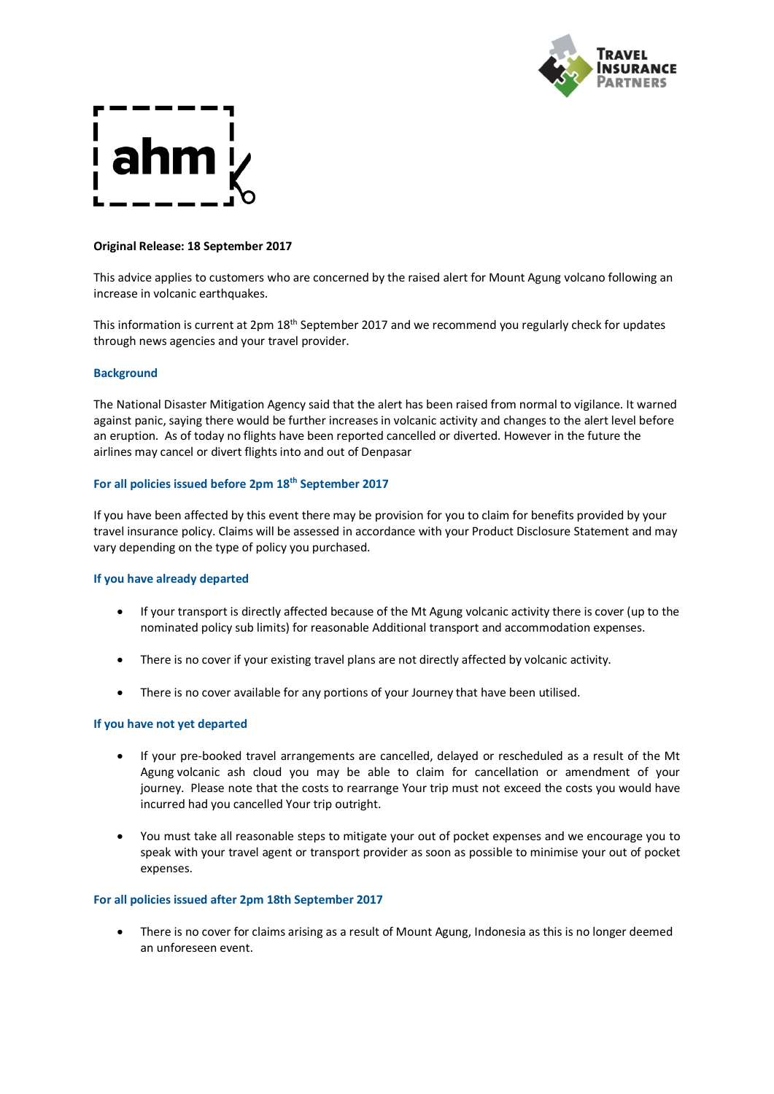

# **Original Release: 18 September 2017**

This advice applies to customers who are concerned by the raised alert for Mount Agung volcano following an increase in volcanic earthquakes.

This information is current at 2pm 18<sup>th</sup> September 2017 and we recommend you regularly check for updates through news agencies and your travel provider.

# **Background**

The National Disaster Mitigation Agency said that the alert has been raised from normal to vigilance. It warned against panic, saying there would be further increases in volcanic activity and changes to the alert level before an eruption. As of today no flights have been reported cancelled or diverted. However in the future the airlines may cancel or divert flights into and out of Denpasar

# **For all policies issued before 2pm 18th September 2017**

If you have been affected by this event there may be provision for you to claim for benefits provided by your travel insurance policy. Claims will be assessed in accordance with your Product Disclosure Statement and may vary depending on the type of policy you purchased.

# **If you have already departed**

- If your transport is directly affected because of the Mt Agung volcanic activity there is cover (up to the nominated policy sub limits) for reasonable Additional transport and accommodation expenses.
- There is no cover if your existing travel plans are not directly affected by volcanic activity.
- There is no cover available for any portions of your Journey that have been utilised.

### **If you have not yet departed**

- If your pre-booked travel arrangements are cancelled, delayed or rescheduled as a result of the Mt Agung volcanic ash cloud you may be able to claim for cancellation or amendment of your journey. Please note that the costs to rearrange Your trip must not exceed the costs you would have incurred had you cancelled Your trip outright.
- You must take all reasonable steps to mitigate your out of pocket expenses and we encourage you to speak with your travel agent or transport provider as soon as possible to minimise your out of pocket expenses.

### **For all policies issued after 2pm 18th September 2017**

• There is no cover for claims arising as a result of Mount Agung, Indonesia as this is no longer deemed an unforeseen event.